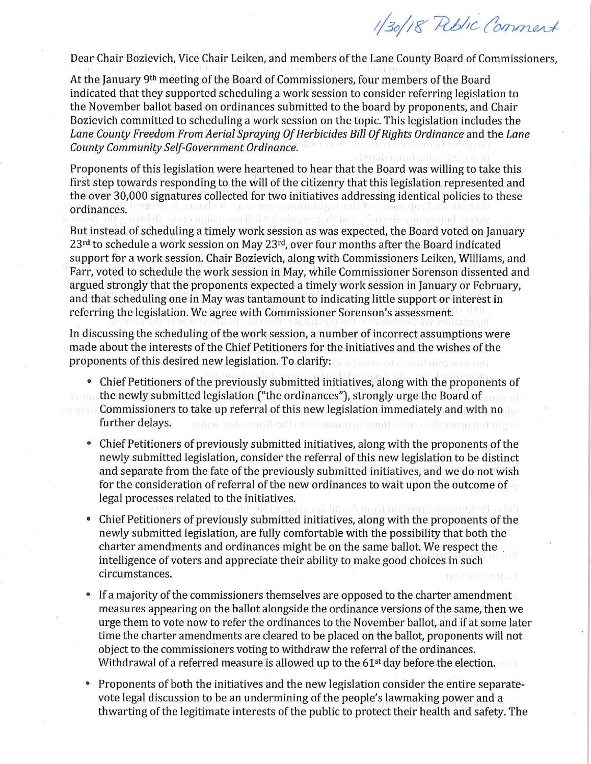1/30/18 Riblic Comment

Dear Chair Bozievich, Vice Chair Leiken, and members of the Lane County Board of Commissioners,

At the January 9th meeting of the Board of Commissioners, four members of the Board indicated that they supported scheduling a work session to consider referring legislation to the November ballot based on ordinances submitted to the board by proponents, and Chair Bozievich committed to scheduling a work session on the topic. This legislation includes the *Lane County Freedom From Aerial Spraying Of Herbicides Bill Of Rights Ordinance* and the *Lane County Community Self-Government Ordinance.* 

Proponents of this legislation were heartened to hear that the Board was willing to take this first step towards responding to the will of the citizenry that this legislation represented and the over 30,000 signatures collected for two initiatives addressing identical policies to these ordinances. ningspred hun. virited

But instead of scheduling a timely work session as was expected, the Board voted on January  $23<sup>rd</sup>$  to schedule a work session on May  $23<sup>rd</sup>$ , over four months after the Board indicated support for a work session. Chair Bozievich, along with Commissioners Leiken, Williams, and Farr, voted to schedule the work session in May, while Commissioner Sorenson dissented and argued strongly that the proponents expected a timely work session in January or February, and that scheduling one in May was tantamount to indicating little support or interest in referring the legislation. We agree with Commissioner Sorenson's assessment.

In discussing the scheduling of the work session, a number of incorrect assumptions were made about the interests of the Chief Petitioners for the initiatives and the wishes of the proponents of this desired new legislation. To clarify: with discrimination of the state

- Chief Petitioners of the previously submitted initiatives, along with the proponents of the newly submitted legislation ("the ordinances"), strongly urge the Board of **Commissioners to take up referral of this new legislation immediately and with no** further delays. hed to many the ceim there on the Plat in the Novotro and the
	- Chief Petitioners of previously submitted initiatives, along with the proponents of the newly submitted legislation, consider the referral of this new legislation to be distinct and separate from the fate of the previously submitted initiatives, and we do not wish for the consideration of referral of the new ordinances to wait upon the outcome of legal processes related to the initiatives. din A mari ambangi sua miling Takib
	- Chief Petitioners of previously submitted initiatives, along with the proponents of the newly submitted legislation, are fully comfortable with the possibility that both the charter amendments and ordinances might be on the same ballot. We respect the . intelligence of voters and appreciate their ability to make good choices in such circumstances.
	- If a majority of the commissioners themselves are opposed to the charter amendment measures appearing on the ballot alongside the ordinance versions of the same, then we urge them to vote now to refer the ordinances to the November ballot, and if at some later time the charter amendments are cleared to be placed on the ballot, proponents will not object to the commissioners voting to withdraw the referral of the ordinances. Withdrawal of a referred measure is allowed up to the 61<sup>st</sup> day before the election.
	- Proponents of both the initiatives and the new legislation consider the entire separatevote legal discussion to be an undermining of the people's lawmaking power and a thwarting of the legitimate interests of the public to protect their health and safety. The